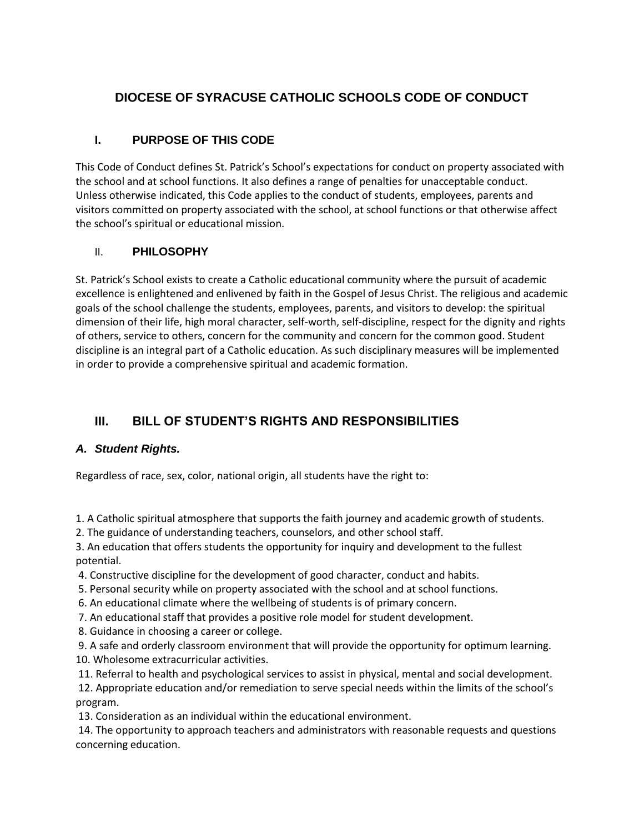# **DIOCESE OF SYRACUSE CATHOLIC SCHOOLS CODE OF CONDUCT**

# **I. PURPOSE OF THIS CODE**

This Code of Conduct defines St. Patrick's School's expectations for conduct on property associated with the school and at school functions. It also defines a range of penalties for unacceptable conduct. Unless otherwise indicated, this Code applies to the conduct of students, employees, parents and visitors committed on property associated with the school, at school functions or that otherwise affect the school's spiritual or educational mission.

# II. **PHILOSOPHY**

St. Patrick's School exists to create a Catholic educational community where the pursuit of academic excellence is enlightened and enlivened by faith in the Gospel of Jesus Christ. The religious and academic goals of the school challenge the students, employees, parents, and visitors to develop: the spiritual dimension of their life, high moral character, self-worth, self-discipline, respect for the dignity and rights of others, service to others, concern for the community and concern for the common good. Student discipline is an integral part of a Catholic education. As such disciplinary measures will be implemented in order to provide a comprehensive spiritual and academic formation.

# **III. BILL OF STUDENT'S RIGHTS AND RESPONSIBILITIES**

# *A. Student Rights.*

Regardless of race, sex, color, national origin, all students have the right to:

1. A Catholic spiritual atmosphere that supports the faith journey and academic growth of students.

2. The guidance of understanding teachers, counselors, and other school staff.

3. An education that offers students the opportunity for inquiry and development to the fullest potential.

4. Constructive discipline for the development of good character, conduct and habits.

5. Personal security while on property associated with the school and at school functions.

6. An educational climate where the wellbeing of students is of primary concern.

7. An educational staff that provides a positive role model for student development.

8. Guidance in choosing a career or college.

9. A safe and orderly classroom environment that will provide the opportunity for optimum learning. 10. Wholesome extracurricular activities.

11. Referral to health and psychological services to assist in physical, mental and social development.

12. Appropriate education and/or remediation to serve special needs within the limits of the school's program.

13. Consideration as an individual within the educational environment.

14. The opportunity to approach teachers and administrators with reasonable requests and questions concerning education.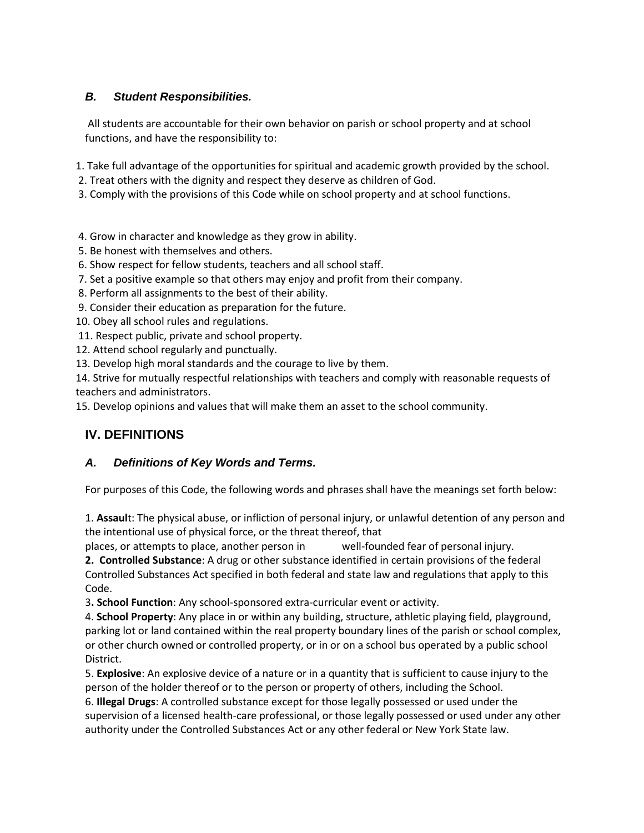# *B. Student Responsibilities.*

All students are accountable for their own behavior on parish or school property and at school functions, and have the responsibility to:

1. Take full advantage of the opportunities for spiritual and academic growth provided by the school.

- 2. Treat others with the dignity and respect they deserve as children of God.
- 3. Comply with the provisions of this Code while on school property and at school functions.
- 4. Grow in character and knowledge as they grow in ability.
- 5. Be honest with themselves and others.
- 6. Show respect for fellow students, teachers and all school staff.
- 7. Set a positive example so that others may enjoy and profit from their company.
- 8. Perform all assignments to the best of their ability.
- 9. Consider their education as preparation for the future.
- 10. Obey all school rules and regulations.
- 11. Respect public, private and school property.
- 12. Attend school regularly and punctually.
- 13. Develop high moral standards and the courage to live by them.

14. Strive for mutually respectful relationships with teachers and comply with reasonable requests of teachers and administrators.

15. Develop opinions and values that will make them an asset to the school community.

# **IV. DEFINITIONS**

## *A. Definitions of Key Words and Terms.*

For purposes of this Code, the following words and phrases shall have the meanings set forth below:

1. **Assaul**t: The physical abuse, or infliction of personal injury, or unlawful detention of any person and the intentional use of physical force, or the threat thereof, that

places, or attempts to place, another person in well-founded fear of personal injury.

**2. Controlled Substance**: A drug or other substance identified in certain provisions of the federal Controlled Substances Act specified in both federal and state law and regulations that apply to this Code.

3**. School Function**: Any school-sponsored extra-curricular event or activity.

4. **School Property**: Any place in or within any building, structure, athletic playing field, playground, parking lot or land contained within the real property boundary lines of the parish or school complex, or other church owned or controlled property, or in or on a school bus operated by a public school District.

5. **Explosive**: An explosive device of a nature or in a quantity that is sufficient to cause injury to the person of the holder thereof or to the person or property of others, including the School.

6. **Illegal Drugs**: A controlled substance except for those legally possessed or used under the supervision of a licensed health-care professional, or those legally possessed or used under any other authority under the Controlled Substances Act or any other federal or New York State law.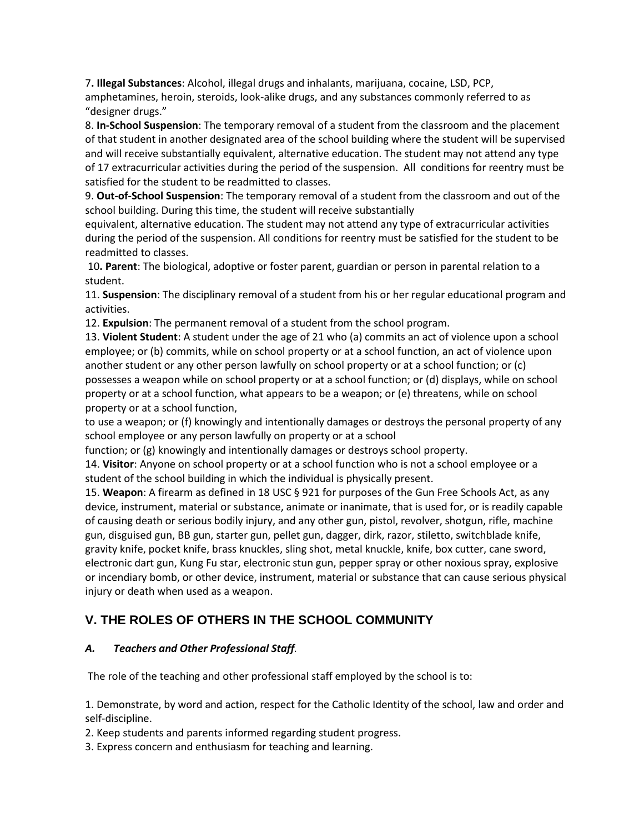7**. Illegal Substances**: Alcohol, illegal drugs and inhalants, marijuana, cocaine, LSD, PCP, amphetamines, heroin, steroids, look-alike drugs, and any substances commonly referred to as "designer drugs."

8. **In-School Suspension**: The temporary removal of a student from the classroom and the placement of that student in another designated area of the school building where the student will be supervised and will receive substantially equivalent, alternative education. The student may not attend any type of 17 extracurricular activities during the period of the suspension. All conditions for reentry must be satisfied for the student to be readmitted to classes.

9. **Out-of-School Suspension**: The temporary removal of a student from the classroom and out of the school building. During this time, the student will receive substantially

equivalent, alternative education. The student may not attend any type of extracurricular activities during the period of the suspension. All conditions for reentry must be satisfied for the student to be readmitted to classes.

10**. Parent**: The biological, adoptive or foster parent, guardian or person in parental relation to a student.

11. **Suspension**: The disciplinary removal of a student from his or her regular educational program and activities.

12. **Expulsion**: The permanent removal of a student from the school program.

13. **Violent Student**: A student under the age of 21 who (a) commits an act of violence upon a school employee; or (b) commits, while on school property or at a school function, an act of violence upon another student or any other person lawfully on school property or at a school function; or (c) possesses a weapon while on school property or at a school function; or (d) displays, while on school property or at a school function, what appears to be a weapon; or (e) threatens, while on school property or at a school function,

to use a weapon; or (f) knowingly and intentionally damages or destroys the personal property of any school employee or any person lawfully on property or at a school

function; or (g) knowingly and intentionally damages or destroys school property.

14. **Visitor**: Anyone on school property or at a school function who is not a school employee or a student of the school building in which the individual is physically present.

15. **Weapon**: A firearm as defined in 18 USC § 921 for purposes of the Gun Free Schools Act, as any device, instrument, material or substance, animate or inanimate, that is used for, or is readily capable of causing death or serious bodily injury, and any other gun, pistol, revolver, shotgun, rifle, machine gun, disguised gun, BB gun, starter gun, pellet gun, dagger, dirk, razor, stiletto, switchblade knife, gravity knife, pocket knife, brass knuckles, sling shot, metal knuckle, knife, box cutter, cane sword, electronic dart gun, Kung Fu star, electronic stun gun, pepper spray or other noxious spray, explosive or incendiary bomb, or other device, instrument, material or substance that can cause serious physical injury or death when used as a weapon.

# **V. THE ROLES OF OTHERS IN THE SCHOOL COMMUNITY**

## *A. Teachers and Other Professional Staff.*

The role of the teaching and other professional staff employed by the school is to:

1. Demonstrate, by word and action, respect for the Catholic Identity of the school, law and order and self-discipline.

2. Keep students and parents informed regarding student progress.

3. Express concern and enthusiasm for teaching and learning.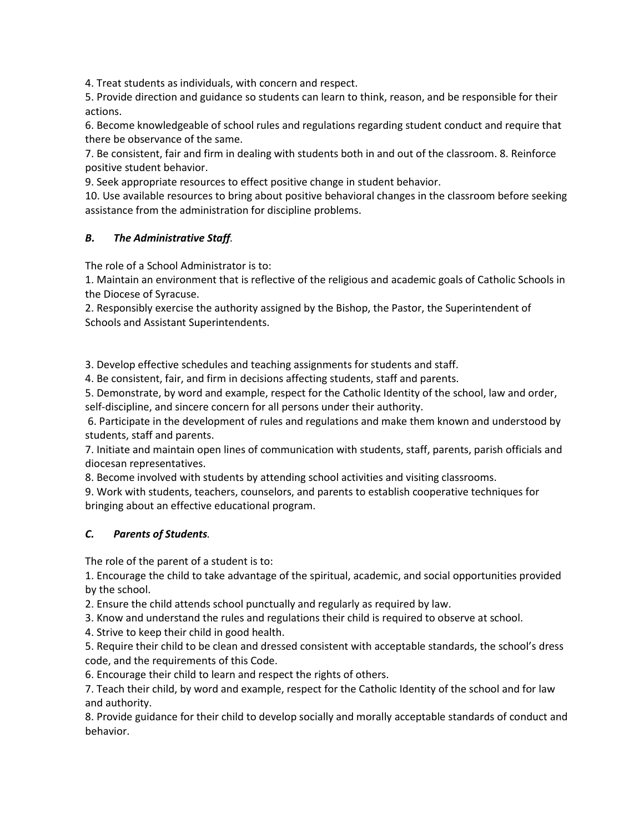4. Treat students as individuals, with concern and respect.

5. Provide direction and guidance so students can learn to think, reason, and be responsible for their actions.

6. Become knowledgeable of school rules and regulations regarding student conduct and require that there be observance of the same.

7. Be consistent, fair and firm in dealing with students both in and out of the classroom. 8. Reinforce positive student behavior.

9. Seek appropriate resources to effect positive change in student behavior.

10. Use available resources to bring about positive behavioral changes in the classroom before seeking assistance from the administration for discipline problems.

#### *B. The Administrative Staff.*

The role of a School Administrator is to:

1. Maintain an environment that is reflective of the religious and academic goals of Catholic Schools in the Diocese of Syracuse.

2. Responsibly exercise the authority assigned by the Bishop, the Pastor, the Superintendent of Schools and Assistant Superintendents.

3. Develop effective schedules and teaching assignments for students and staff.

4. Be consistent, fair, and firm in decisions affecting students, staff and parents.

5. Demonstrate, by word and example, respect for the Catholic Identity of the school, law and order, self-discipline, and sincere concern for all persons under their authority.

6. Participate in the development of rules and regulations and make them known and understood by students, staff and parents.

7. Initiate and maintain open lines of communication with students, staff, parents, parish officials and diocesan representatives.

8. Become involved with students by attending school activities and visiting classrooms.

9. Work with students, teachers, counselors, and parents to establish cooperative techniques for bringing about an effective educational program.

## *C. Parents of Students.*

The role of the parent of a student is to:

1. Encourage the child to take advantage of the spiritual, academic, and social opportunities provided by the school.

2. Ensure the child attends school punctually and regularly as required by law.

3. Know and understand the rules and regulations their child is required to observe at school.

4. Strive to keep their child in good health.

5. Require their child to be clean and dressed consistent with acceptable standards, the school's dress code, and the requirements of this Code.

6. Encourage their child to learn and respect the rights of others.

7. Teach their child, by word and example, respect for the Catholic Identity of the school and for law and authority.

8. Provide guidance for their child to develop socially and morally acceptable standards of conduct and behavior.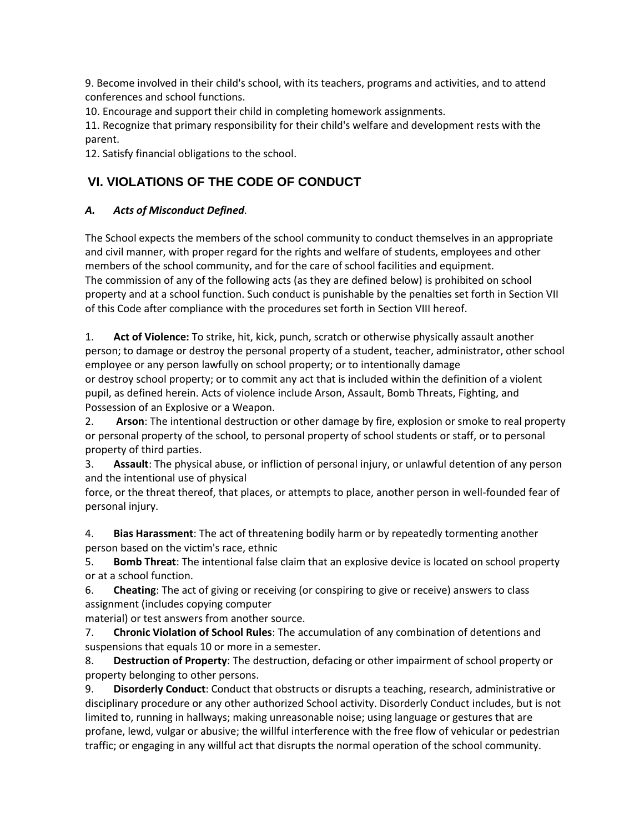9. Become involved in their child's school, with its teachers, programs and activities, and to attend conferences and school functions.

10. Encourage and support their child in completing homework assignments.

11. Recognize that primary responsibility for their child's welfare and development rests with the parent.

12. Satisfy financial obligations to the school.

# **VI. VIOLATIONS OF THE CODE OF CONDUCT**

## *A. Acts of Misconduct Defined.*

The School expects the members of the school community to conduct themselves in an appropriate and civil manner, with proper regard for the rights and welfare of students, employees and other members of the school community, and for the care of school facilities and equipment. The commission of any of the following acts (as they are defined below) is prohibited on school property and at a school function. Such conduct is punishable by the penalties set forth in Section VII of this Code after compliance with the procedures set forth in Section VIII hereof.

1. **Act of Violence:** To strike, hit, kick, punch, scratch or otherwise physically assault another person; to damage or destroy the personal property of a student, teacher, administrator, other school employee or any person lawfully on school property; or to intentionally damage or destroy school property; or to commit any act that is included within the definition of a violent pupil, as defined herein. Acts of violence include Arson, Assault, Bomb Threats, Fighting, and Possession of an Explosive or a Weapon.

2. **Arson**: The intentional destruction or other damage by fire, explosion or smoke to real property or personal property of the school, to personal property of school students or staff, or to personal property of third parties.

3. **Assault**: The physical abuse, or infliction of personal injury, or unlawful detention of any person and the intentional use of physical

force, or the threat thereof, that places, or attempts to place, another person in well-founded fear of personal injury.

4. **Bias Harassment**: The act of threatening bodily harm or by repeatedly tormenting another person based on the victim's race, ethnic

5. **Bomb Threat**: The intentional false claim that an explosive device is located on school property or at a school function.

6. **Cheating**: The act of giving or receiving (or conspiring to give or receive) answers to class assignment (includes copying computer

material) or test answers from another source.

7. **Chronic Violation of School Rules**: The accumulation of any combination of detentions and suspensions that equals 10 or more in a semester.

8. **Destruction of Property**: The destruction, defacing or other impairment of school property or property belonging to other persons.

9. **Disorderly Conduct**: Conduct that obstructs or disrupts a teaching, research, administrative or disciplinary procedure or any other authorized School activity. Disorderly Conduct includes, but is not limited to, running in hallways; making unreasonable noise; using language or gestures that are profane, lewd, vulgar or abusive; the willful interference with the free flow of vehicular or pedestrian traffic; or engaging in any willful act that disrupts the normal operation of the school community.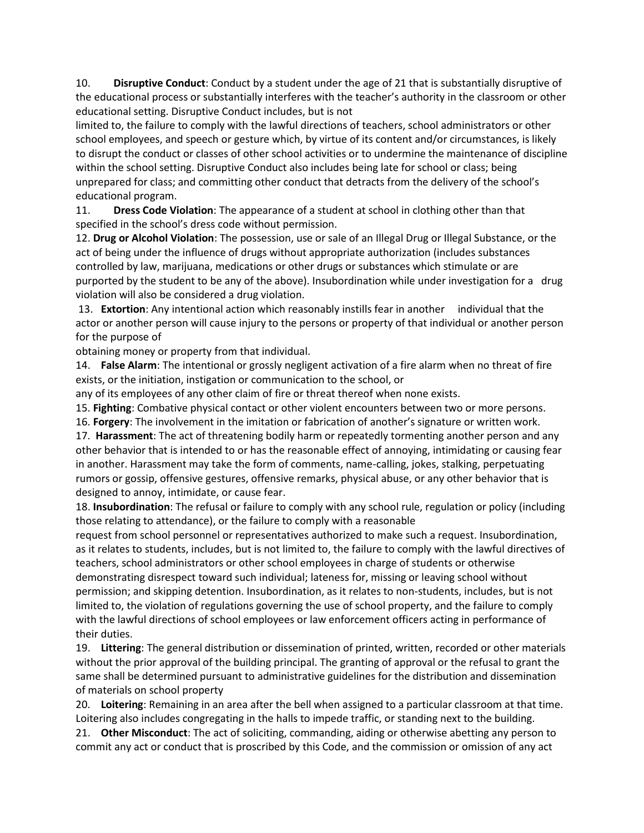10. **Disruptive Conduct**: Conduct by a student under the age of 21 that is substantially disruptive of the educational process or substantially interferes with the teacher's authority in the classroom or other educational setting. Disruptive Conduct includes, but is not

limited to, the failure to comply with the lawful directions of teachers, school administrators or other school employees, and speech or gesture which, by virtue of its content and/or circumstances, is likely to disrupt the conduct or classes of other school activities or to undermine the maintenance of discipline within the school setting. Disruptive Conduct also includes being late for school or class; being unprepared for class; and committing other conduct that detracts from the delivery of the school's educational program.

11. **Dress Code Violation**: The appearance of a student at school in clothing other than that specified in the school's dress code without permission.

12. **Drug or Alcohol Violation**: The possession, use or sale of an Illegal Drug or Illegal Substance, or the act of being under the influence of drugs without appropriate authorization (includes substances controlled by law, marijuana, medications or other drugs or substances which stimulate or are purported by the student to be any of the above). Insubordination while under investigation for a drug violation will also be considered a drug violation.

13. **Extortion**: Any intentional action which reasonably instills fear in another individual that the actor or another person will cause injury to the persons or property of that individual or another person for the purpose of

obtaining money or property from that individual.

14. **False Alarm**: The intentional or grossly negligent activation of a fire alarm when no threat of fire exists, or the initiation, instigation or communication to the school, or

any of its employees of any other claim of fire or threat thereof when none exists.

15. **Fighting**: Combative physical contact or other violent encounters between two or more persons.

16. **Forgery**: The involvement in the imitation or fabrication of another's signature or written work.

17. **Harassment**: The act of threatening bodily harm or repeatedly tormenting another person and any other behavior that is intended to or has the reasonable effect of annoying, intimidating or causing fear in another. Harassment may take the form of comments, name-calling, jokes, stalking, perpetuating rumors or gossip, offensive gestures, offensive remarks, physical abuse, or any other behavior that is designed to annoy, intimidate, or cause fear.

18. **Insubordination**: The refusal or failure to comply with any school rule, regulation or policy (including those relating to attendance), or the failure to comply with a reasonable

request from school personnel or representatives authorized to make such a request. Insubordination, as it relates to students, includes, but is not limited to, the failure to comply with the lawful directives of teachers, school administrators or other school employees in charge of students or otherwise demonstrating disrespect toward such individual; lateness for, missing or leaving school without permission; and skipping detention. Insubordination, as it relates to non-students, includes, but is not limited to, the violation of regulations governing the use of school property, and the failure to comply with the lawful directions of school employees or law enforcement officers acting in performance of their duties.

19. **Littering**: The general distribution or dissemination of printed, written, recorded or other materials without the prior approval of the building principal. The granting of approval or the refusal to grant the same shall be determined pursuant to administrative guidelines for the distribution and dissemination of materials on school property

20. **Loitering**: Remaining in an area after the bell when assigned to a particular classroom at that time. Loitering also includes congregating in the halls to impede traffic, or standing next to the building.

21. **Other Misconduct**: The act of soliciting, commanding, aiding or otherwise abetting any person to commit any act or conduct that is proscribed by this Code, and the commission or omission of any act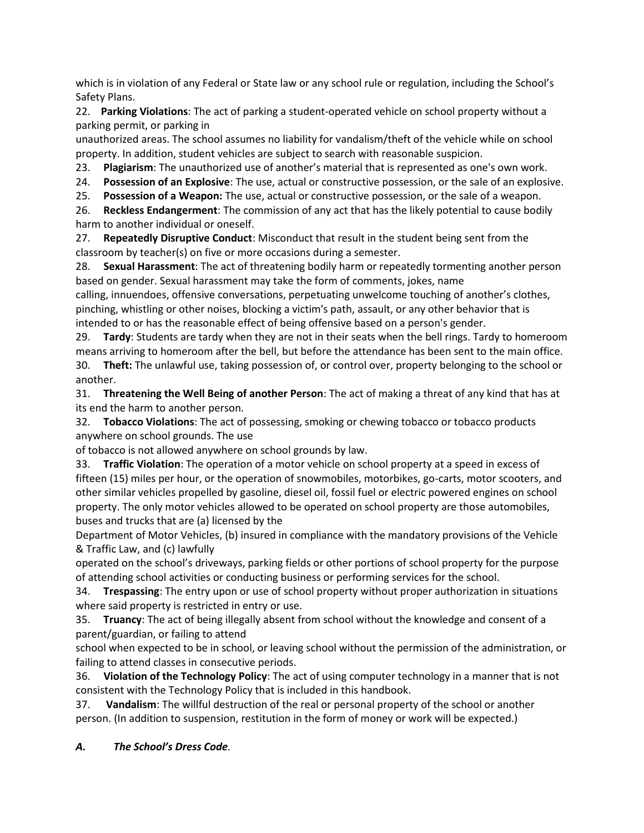which is in violation of any Federal or State law or any school rule or regulation, including the School's Safety Plans.

22. **Parking Violations**: The act of parking a student-operated vehicle on school property without a parking permit, or parking in

unauthorized areas. The school assumes no liability for vandalism/theft of the vehicle while on school property. In addition, student vehicles are subject to search with reasonable suspicion.

23. **Plagiarism**: The unauthorized use of another's material that is represented as one's own work.

24. **Possession of an Explosive**: The use, actual or constructive possession, or the sale of an explosive.

25. **Possession of a Weapon:** The use, actual or constructive possession, or the sale of a weapon.

26. **Reckless Endangerment**: The commission of any act that has the likely potential to cause bodily harm to another individual or oneself.

27. **Repeatedly Disruptive Conduct**: Misconduct that result in the student being sent from the classroom by teacher(s) on five or more occasions during a semester.

28. **Sexual Harassment**: The act of threatening bodily harm or repeatedly tormenting another person based on gender. Sexual harassment may take the form of comments, jokes, name

calling, innuendoes, offensive conversations, perpetuating unwelcome touching of another's clothes, pinching, whistling or other noises, blocking a victim's path, assault, or any other behavior that is intended to or has the reasonable effect of being offensive based on a person's gender.

29. **Tardy**: Students are tardy when they are not in their seats when the bell rings. Tardy to homeroom means arriving to homeroom after the bell, but before the attendance has been sent to the main office. 30. **Theft:** The unlawful use, taking possession of, or control over, property belonging to the school or another.

31. **Threatening the Well Being of another Person**: The act of making a threat of any kind that has at its end the harm to another person.

32. **Tobacco Violations**: The act of possessing, smoking or chewing tobacco or tobacco products anywhere on school grounds. The use

of tobacco is not allowed anywhere on school grounds by law.

33. **Traffic Violation**: The operation of a motor vehicle on school property at a speed in excess of fifteen (15) miles per hour, or the operation of snowmobiles, motorbikes, go-carts, motor scooters, and other similar vehicles propelled by gasoline, diesel oil, fossil fuel or electric powered engines on school property. The only motor vehicles allowed to be operated on school property are those automobiles, buses and trucks that are (a) licensed by the

Department of Motor Vehicles, (b) insured in compliance with the mandatory provisions of the Vehicle & Traffic Law, and (c) lawfully

operated on the school's driveways, parking fields or other portions of school property for the purpose of attending school activities or conducting business or performing services for the school.

34. **Trespassing**: The entry upon or use of school property without proper authorization in situations where said property is restricted in entry or use.

35. **Truancy**: The act of being illegally absent from school without the knowledge and consent of a parent/guardian, or failing to attend

school when expected to be in school, or leaving school without the permission of the administration, or failing to attend classes in consecutive periods.

36. **Violation of the Technology Policy**: The act of using computer technology in a manner that is not consistent with the Technology Policy that is included in this handbook.

37. **Vandalism**: The willful destruction of the real or personal property of the school or another person. (In addition to suspension, restitution in the form of money or work will be expected.)

*A. The School's Dress Code.*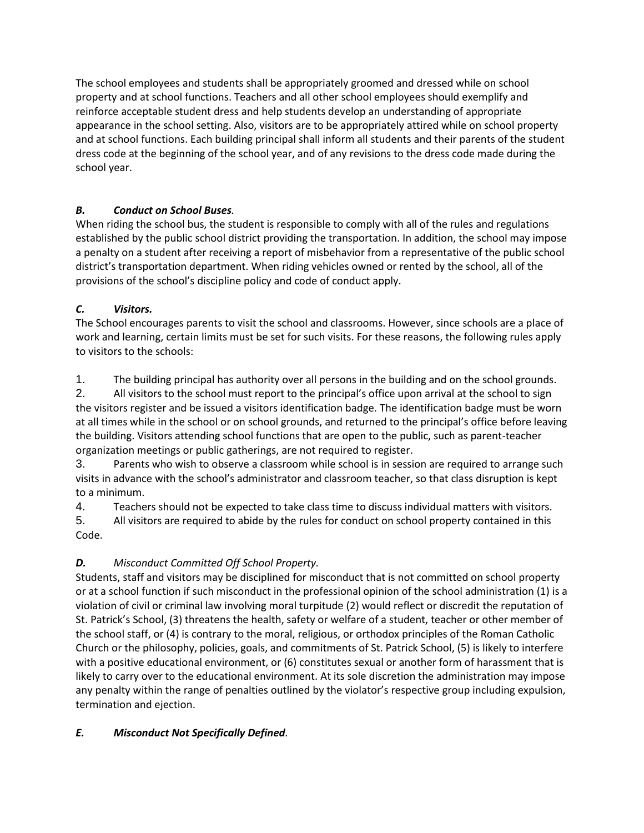The school employees and students shall be appropriately groomed and dressed while on school property and at school functions. Teachers and all other school employees should exemplify and reinforce acceptable student dress and help students develop an understanding of appropriate appearance in the school setting. Also, visitors are to be appropriately attired while on school property and at school functions. Each building principal shall inform all students and their parents of the student dress code at the beginning of the school year, and of any revisions to the dress code made during the school year.

# *B. Conduct on School Buses.*

When riding the school bus, the student is responsible to comply with all of the rules and regulations established by the public school district providing the transportation. In addition, the school may impose a penalty on a student after receiving a report of misbehavior from a representative of the public school district's transportation department. When riding vehicles owned or rented by the school, all of the provisions of the school's discipline policy and code of conduct apply.

# *C. Visitors.*

The School encourages parents to visit the school and classrooms. However, since schools are a place of work and learning, certain limits must be set for such visits. For these reasons, the following rules apply to visitors to the schools:

1. The building principal has authority over all persons in the building and on the school grounds.

2. All visitors to the school must report to the principal's office upon arrival at the school to sign the visitors register and be issued a visitors identification badge. The identification badge must be worn at all times while in the school or on school grounds, and returned to the principal's office before leaving the building. Visitors attending school functions that are open to the public, such as parent-teacher organization meetings or public gatherings, are not required to register.

3. Parents who wish to observe a classroom while school is in session are required to arrange such visits in advance with the school's administrator and classroom teacher, so that class disruption is kept to a minimum.

4. Teachers should not be expected to take class time to discuss individual matters with visitors.

5. All visitors are required to abide by the rules for conduct on school property contained in this Code.

# *D. Misconduct Committed Off School Property.*

Students, staff and visitors may be disciplined for misconduct that is not committed on school property or at a school function if such misconduct in the professional opinion of the school administration (1) is a violation of civil or criminal law involving moral turpitude (2) would reflect or discredit the reputation of St. Patrick's School, (3) threatens the health, safety or welfare of a student, teacher or other member of the school staff, or (4) is contrary to the moral, religious, or orthodox principles of the Roman Catholic Church or the philosophy, policies, goals, and commitments of St. Patrick School, (5) is likely to interfere with a positive educational environment, or (6) constitutes sexual or another form of harassment that is likely to carry over to the educational environment. At its sole discretion the administration may impose any penalty within the range of penalties outlined by the violator's respective group including expulsion, termination and ejection.

# *E. Misconduct Not Specifically Defined.*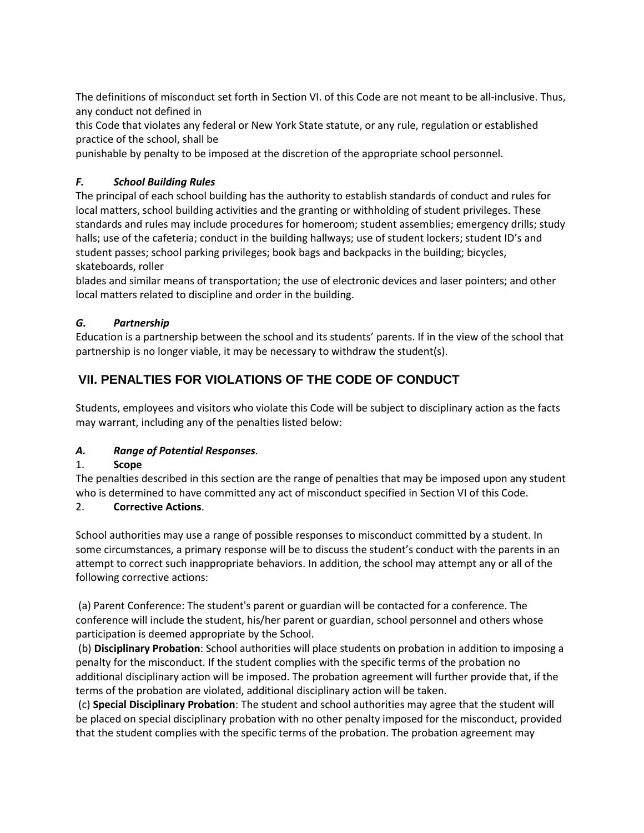The definitions of misconduct set forth in Section VI. of this Code are not meant to be all-inclusive. Thus, any conduct not defined in

this Code that violates any federal or New York State statute, or any rule, regulation or established practice of the school, shall be

punishable by penalty to be imposed at the discretion of the appropriate school personnel.

## *F. School Building Rules*

The principal of each school building has the authority to establish standards of conduct and rules for local matters, school building activities and the granting or withholding of student privileges. These standards and rules may include procedures for homeroom; student assemblies; emergency drills; study halls; use of the cafeteria; conduct in the building hallways; use of student lockers; student ID's and student passes; school parking privileges; book bags and backpacks in the building; bicycles, skateboards, roller

blades and similar means of transportation; the use of electronic devices and laser pointers; and other local matters related to discipline and order in the building.

## *G. Partnership*

Education is a partnership between the school and its students' parents. If in the view of the school that partnership is no longer viable, it may be necessary to withdraw the student(s).

# **VII. PENALTIES FOR VIOLATIONS OF THE CODE OF CONDUCT**

Students, employees and visitors who violate this Code will be subject to disciplinary action as the facts may warrant, including any of the penalties listed below:

## *A. Range of Potential Responses.*

## 1. **Scope**

The penalties described in this section are the range of penalties that may be imposed upon any student who is determined to have committed any act of misconduct specified in Section VI of this Code.

## 2. **Corrective Actions**.

School authorities may use a range of possible responses to misconduct committed by a student. In some circumstances, a primary response will be to discuss the student's conduct with the parents in an attempt to correct such inappropriate behaviors. In addition, the school may attempt any or all of the following corrective actions:

(a) Parent Conference: The student's parent or guardian will be contacted for a conference. The conference will include the student, his/her parent or guardian, school personnel and others whose participation is deemed appropriate by the School.

(b) **Disciplinary Probation**: School authorities will place students on probation in addition to imposing a penalty for the misconduct. If the student complies with the specific terms of the probation no additional disciplinary action will be imposed. The probation agreement will further provide that, if the terms of the probation are violated, additional disciplinary action will be taken.

(c) **Special Disciplinary Probation**: The student and school authorities may agree that the student will be placed on special disciplinary probation with no other penalty imposed for the misconduct, provided that the student complies with the specific terms of the probation. The probation agreement may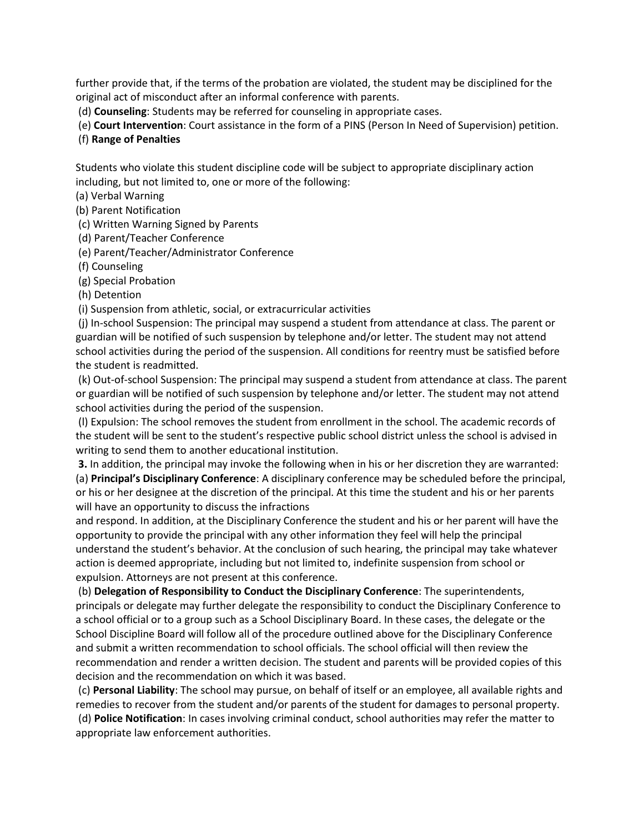further provide that, if the terms of the probation are violated, the student may be disciplined for the original act of misconduct after an informal conference with parents.

(d) **Counseling**: Students may be referred for counseling in appropriate cases.

(e) **Court Intervention**: Court assistance in the form of a PINS (Person In Need of Supervision) petition.

#### (f) **Range of Penalties**

Students who violate this student discipline code will be subject to appropriate disciplinary action including, but not limited to, one or more of the following:

(a) Verbal Warning

(b) Parent Notification

(c) Written Warning Signed by Parents

(d) Parent/Teacher Conference

(e) Parent/Teacher/Administrator Conference

(f) Counseling

(g) Special Probation

(h) Detention

(i) Suspension from athletic, social, or extracurricular activities

(j) In-school Suspension: The principal may suspend a student from attendance at class. The parent or guardian will be notified of such suspension by telephone and/or letter. The student may not attend school activities during the period of the suspension. All conditions for reentry must be satisfied before the student is readmitted.

(k) Out-of-school Suspension: The principal may suspend a student from attendance at class. The parent or guardian will be notified of such suspension by telephone and/or letter. The student may not attend school activities during the period of the suspension.

(l) Expulsion: The school removes the student from enrollment in the school. The academic records of the student will be sent to the student's respective public school district unless the school is advised in writing to send them to another educational institution.

**3.** In addition, the principal may invoke the following when in his or her discretion they are warranted: (a) **Principal's Disciplinary Conference**: A disciplinary conference may be scheduled before the principal, or his or her designee at the discretion of the principal. At this time the student and his or her parents will have an opportunity to discuss the infractions

and respond. In addition, at the Disciplinary Conference the student and his or her parent will have the opportunity to provide the principal with any other information they feel will help the principal understand the student's behavior. At the conclusion of such hearing, the principal may take whatever action is deemed appropriate, including but not limited to, indefinite suspension from school or expulsion. Attorneys are not present at this conference.

(b) **Delegation of Responsibility to Conduct the Disciplinary Conference**: The superintendents, principals or delegate may further delegate the responsibility to conduct the Disciplinary Conference to a school official or to a group such as a School Disciplinary Board. In these cases, the delegate or the School Discipline Board will follow all of the procedure outlined above for the Disciplinary Conference and submit a written recommendation to school officials. The school official will then review the recommendation and render a written decision. The student and parents will be provided copies of this decision and the recommendation on which it was based.

(c) **Personal Liability**: The school may pursue, on behalf of itself or an employee, all available rights and remedies to recover from the student and/or parents of the student for damages to personal property.

(d) **Police Notification**: In cases involving criminal conduct, school authorities may refer the matter to appropriate law enforcement authorities.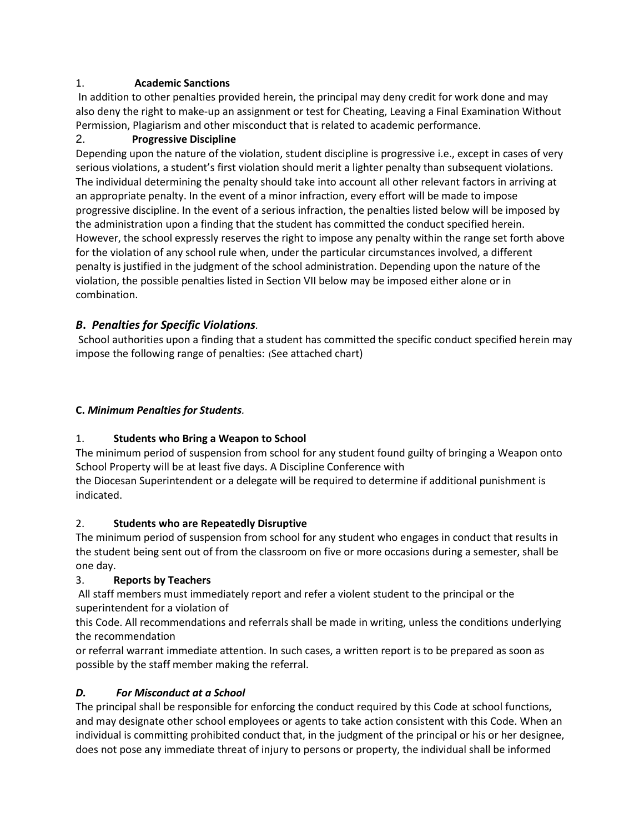## 1. **Academic Sanctions**

In addition to other penalties provided herein, the principal may deny credit for work done and may also deny the right to make-up an assignment or test for Cheating, Leaving a Final Examination Without Permission, Plagiarism and other misconduct that is related to academic performance.

## 2. **Progressive Discipline**

Depending upon the nature of the violation, student discipline is progressive i.e., except in cases of very serious violations, a student's first violation should merit a lighter penalty than subsequent violations. The individual determining the penalty should take into account all other relevant factors in arriving at an appropriate penalty. In the event of a minor infraction, every effort will be made to impose progressive discipline. In the event of a serious infraction, the penalties listed below will be imposed by the administration upon a finding that the student has committed the conduct specified herein. However, the school expressly reserves the right to impose any penalty within the range set forth above for the violation of any school rule when, under the particular circumstances involved, a different penalty is justified in the judgment of the school administration. Depending upon the nature of the violation, the possible penalties listed in Section VII below may be imposed either alone or in combination.

# *B***.** *Penalties for Specific Violations.*

School authorities upon a finding that a student has committed the specific conduct specified herein may impose the following range of penalties: (See attached chart)

## **C.** *Minimum Penalties for Students.*

# 1. **Students who Bring a Weapon to School**

The minimum period of suspension from school for any student found guilty of bringing a Weapon onto School Property will be at least five days. A Discipline Conference with

the Diocesan Superintendent or a delegate will be required to determine if additional punishment is indicated.

## 2. **Students who are Repeatedly Disruptive**

The minimum period of suspension from school for any student who engages in conduct that results in the student being sent out of from the classroom on five or more occasions during a semester, shall be one day.

# 3. **Reports by Teachers**

All staff members must immediately report and refer a violent student to the principal or the superintendent for a violation of

this Code. All recommendations and referrals shall be made in writing, unless the conditions underlying the recommendation

or referral warrant immediate attention. In such cases, a written report is to be prepared as soon as possible by the staff member making the referral.

## *D. For Misconduct at a School*

The principal shall be responsible for enforcing the conduct required by this Code at school functions, and may designate other school employees or agents to take action consistent with this Code. When an individual is committing prohibited conduct that, in the judgment of the principal or his or her designee, does not pose any immediate threat of injury to persons or property, the individual shall be informed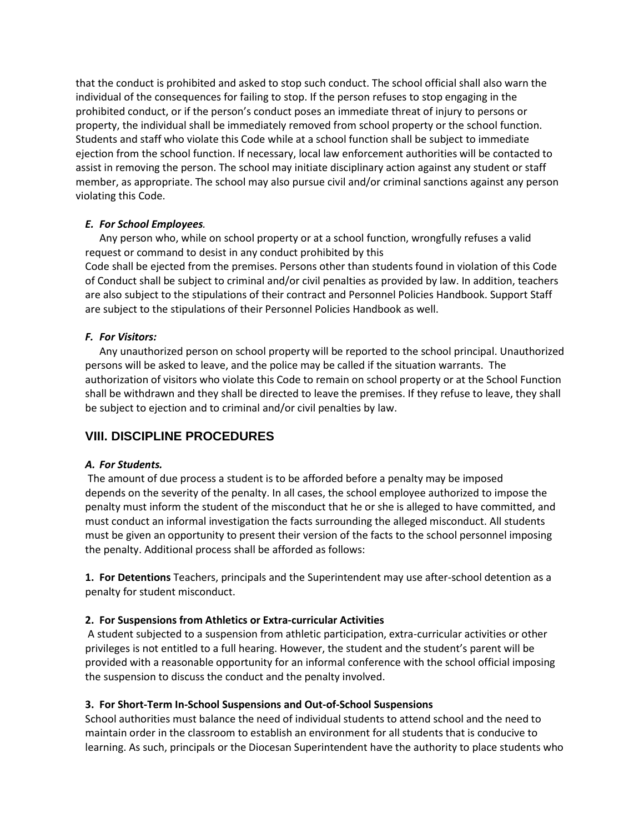that the conduct is prohibited and asked to stop such conduct. The school official shall also warn the individual of the consequences for failing to stop. If the person refuses to stop engaging in the prohibited conduct, or if the person's conduct poses an immediate threat of injury to persons or property, the individual shall be immediately removed from school property or the school function. Students and staff who violate this Code while at a school function shall be subject to immediate ejection from the school function. If necessary, local law enforcement authorities will be contacted to assist in removing the person. The school may initiate disciplinary action against any student or staff member, as appropriate. The school may also pursue civil and/or criminal sanctions against any person violating this Code.

#### *E. For School Employees.*

Any person who, while on school property or at a school function, wrongfully refuses a valid request or command to desist in any conduct prohibited by this Code shall be ejected from the premises. Persons other than students found in violation of this Code of Conduct shall be subject to criminal and/or civil penalties as provided by law. In addition, teachers are also subject to the stipulations of their contract and Personnel Policies Handbook. Support Staff are subject to the stipulations of their Personnel Policies Handbook as well.

#### *F. For Visitors:*

Any unauthorized person on school property will be reported to the school principal. Unauthorized persons will be asked to leave, and the police may be called if the situation warrants. The authorization of visitors who violate this Code to remain on school property or at the School Function shall be withdrawn and they shall be directed to leave the premises. If they refuse to leave, they shall be subject to ejection and to criminal and/or civil penalties by law.

# **VIII. DISCIPLINE PROCEDURES**

#### *A. For Students.*

The amount of due process a student is to be afforded before a penalty may be imposed depends on the severity of the penalty. In all cases, the school employee authorized to impose the penalty must inform the student of the misconduct that he or she is alleged to have committed, and must conduct an informal investigation the facts surrounding the alleged misconduct. All students must be given an opportunity to present their version of the facts to the school personnel imposing the penalty. Additional process shall be afforded as follows:

**1. For Detentions** Teachers, principals and the Superintendent may use after-school detention as a penalty for student misconduct.

#### **2. For Suspensions from Athletics or Extra-curricular Activities**

A student subjected to a suspension from athletic participation, extra-curricular activities or other privileges is not entitled to a full hearing. However, the student and the student's parent will be provided with a reasonable opportunity for an informal conference with the school official imposing the suspension to discuss the conduct and the penalty involved.

#### **3. For Short-Term In-School Suspensions and Out-of-School Suspensions**

School authorities must balance the need of individual students to attend school and the need to maintain order in the classroom to establish an environment for all students that is conducive to learning. As such, principals or the Diocesan Superintendent have the authority to place students who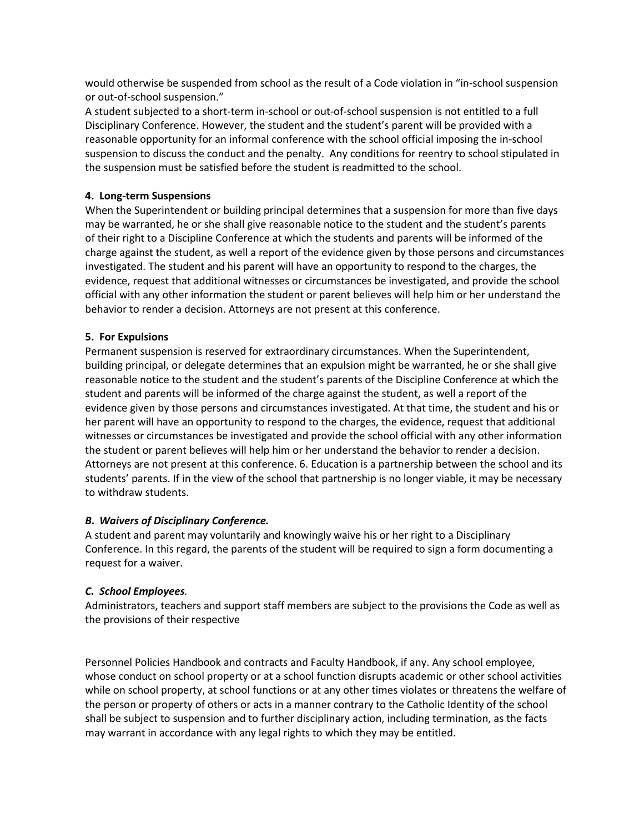would otherwise be suspended from school as the result of a Code violation in "in-school suspension or out-of-school suspension."

A student subjected to a short-term in-school or out-of-school suspension is not entitled to a full Disciplinary Conference. However, the student and the student's parent will be provided with a reasonable opportunity for an informal conference with the school official imposing the in-school suspension to discuss the conduct and the penalty. Any conditions for reentry to school stipulated in the suspension must be satisfied before the student is readmitted to the school.

#### **4. Long-term Suspensions**

When the Superintendent or building principal determines that a suspension for more than five days may be warranted, he or she shall give reasonable notice to the student and the student's parents of their right to a Discipline Conference at which the students and parents will be informed of the charge against the student, as well a report of the evidence given by those persons and circumstances investigated. The student and his parent will have an opportunity to respond to the charges, the evidence, request that additional witnesses or circumstances be investigated, and provide the school official with any other information the student or parent believes will help him or her understand the behavior to render a decision. Attorneys are not present at this conference.

#### **5. For Expulsions**

Permanent suspension is reserved for extraordinary circumstances. When the Superintendent, building principal, or delegate determines that an expulsion might be warranted, he or she shall give reasonable notice to the student and the student's parents of the Discipline Conference at which the student and parents will be informed of the charge against the student, as well a report of the evidence given by those persons and circumstances investigated. At that time, the student and his or her parent will have an opportunity to respond to the charges, the evidence, request that additional witnesses or circumstances be investigated and provide the school official with any other information the student or parent believes will help him or her understand the behavior to render a decision. Attorneys are not present at this conference. 6. Education is a partnership between the school and its students' parents. If in the view of the school that partnership is no longer viable, it may be necessary to withdraw students.

#### *B. Waivers of Disciplinary Conference.*

A student and parent may voluntarily and knowingly waive his or her right to a Disciplinary Conference. In this regard, the parents of the student will be required to sign a form documenting a request for a waiver.

#### *C. School Employees.*

Administrators, teachers and support staff members are subject to the provisions the Code as well as the provisions of their respective

Personnel Policies Handbook and contracts and Faculty Handbook, if any. Any school employee, whose conduct on school property or at a school function disrupts academic or other school activities while on school property, at school functions or at any other times violates or threatens the welfare of the person or property of others or acts in a manner contrary to the Catholic Identity of the school shall be subject to suspension and to further disciplinary action, including termination, as the facts may warrant in accordance with any legal rights to which they may be entitled.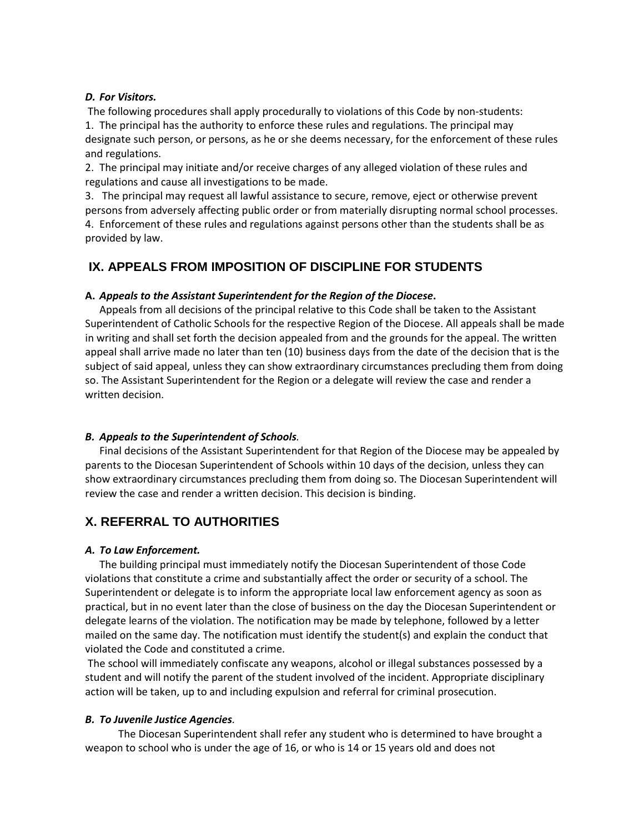#### *D. For Visitors.*

The following procedures shall apply procedurally to violations of this Code by non-students:

1. The principal has the authority to enforce these rules and regulations. The principal may designate such person, or persons, as he or she deems necessary, for the enforcement of these rules and regulations.

2. The principal may initiate and/or receive charges of any alleged violation of these rules and regulations and cause all investigations to be made.

3. The principal may request all lawful assistance to secure, remove, eject or otherwise prevent persons from adversely affecting public order or from materially disrupting normal school processes. 4. Enforcement of these rules and regulations against persons other than the students shall be as provided by law.

# **IX. APPEALS FROM IMPOSITION OF DISCIPLINE FOR STUDENTS**

#### **A.** *Appeals to the Assistant Superintendent for the Region of the Diocese***.**

Appeals from all decisions of the principal relative to this Code shall be taken to the Assistant Superintendent of Catholic Schools for the respective Region of the Diocese. All appeals shall be made in writing and shall set forth the decision appealed from and the grounds for the appeal. The written appeal shall arrive made no later than ten (10) business days from the date of the decision that is the subject of said appeal, unless they can show extraordinary circumstances precluding them from doing so. The Assistant Superintendent for the Region or a delegate will review the case and render a written decision.

#### *B. Appeals to the Superintendent of Schools.*

Final decisions of the Assistant Superintendent for that Region of the Diocese may be appealed by parents to the Diocesan Superintendent of Schools within 10 days of the decision, unless they can show extraordinary circumstances precluding them from doing so. The Diocesan Superintendent will review the case and render a written decision. This decision is binding.

# **X. REFERRAL TO AUTHORITIES**

#### *A. To Law Enforcement.*

The building principal must immediately notify the Diocesan Superintendent of those Code violations that constitute a crime and substantially affect the order or security of a school. The Superintendent or delegate is to inform the appropriate local law enforcement agency as soon as practical, but in no event later than the close of business on the day the Diocesan Superintendent or delegate learns of the violation. The notification may be made by telephone, followed by a letter mailed on the same day. The notification must identify the student(s) and explain the conduct that violated the Code and constituted a crime.

The school will immediately confiscate any weapons, alcohol or illegal substances possessed by a student and will notify the parent of the student involved of the incident. Appropriate disciplinary action will be taken, up to and including expulsion and referral for criminal prosecution.

#### *B. To Juvenile Justice Agencies.*

The Diocesan Superintendent shall refer any student who is determined to have brought a weapon to school who is under the age of 16, or who is 14 or 15 years old and does not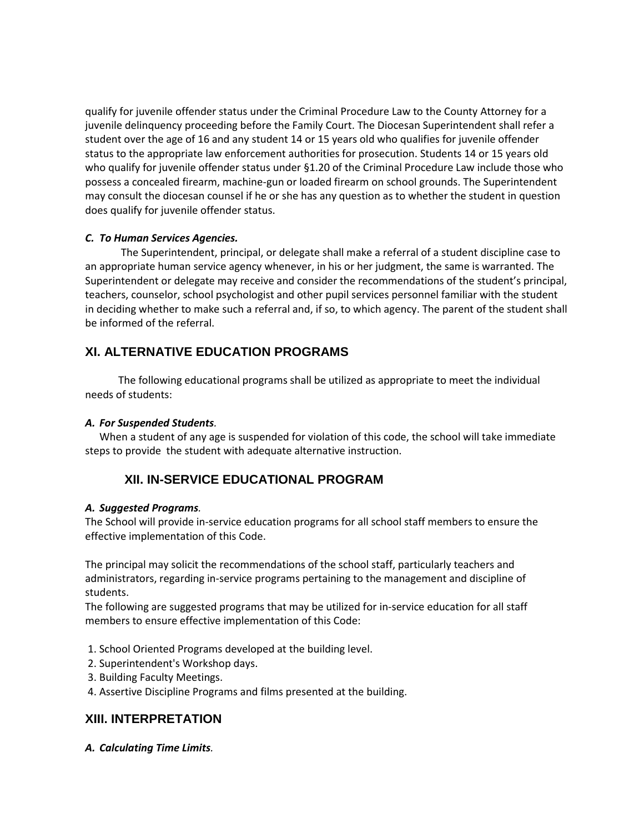qualify for juvenile offender status under the Criminal Procedure Law to the County Attorney for a juvenile delinquency proceeding before the Family Court. The Diocesan Superintendent shall refer a student over the age of 16 and any student 14 or 15 years old who qualifies for juvenile offender status to the appropriate law enforcement authorities for prosecution. Students 14 or 15 years old who qualify for juvenile offender status under §1.20 of the Criminal Procedure Law include those who possess a concealed firearm, machine-gun or loaded firearm on school grounds. The Superintendent may consult the diocesan counsel if he or she has any question as to whether the student in question does qualify for juvenile offender status.

#### *C. To Human Services Agencies.*

The Superintendent, principal, or delegate shall make a referral of a student discipline case to an appropriate human service agency whenever, in his or her judgment, the same is warranted. The Superintendent or delegate may receive and consider the recommendations of the student's principal, teachers, counselor, school psychologist and other pupil services personnel familiar with the student in deciding whether to make such a referral and, if so, to which agency. The parent of the student shall be informed of the referral.

# **XI. ALTERNATIVE EDUCATION PROGRAMS**

The following educational programs shall be utilized as appropriate to meet the individual needs of students:

## *A. For Suspended Students.*

When a student of any age is suspended for violation of this code, the school will take immediate steps to provide the student with adequate alternative instruction.

# **XII. IN-SERVICE EDUCATIONAL PROGRAM**

## *A. Suggested Programs.*

The School will provide in-service education programs for all school staff members to ensure the effective implementation of this Code.

The principal may solicit the recommendations of the school staff, particularly teachers and administrators, regarding in-service programs pertaining to the management and discipline of students.

The following are suggested programs that may be utilized for in-service education for all staff members to ensure effective implementation of this Code:

- 1. School Oriented Programs developed at the building level.
- 2. Superintendent's Workshop days.
- 3. Building Faculty Meetings.
- 4. Assertive Discipline Programs and films presented at the building.

# **XIII. INTERPRETATION**

*A. Calculating Time Limits.*